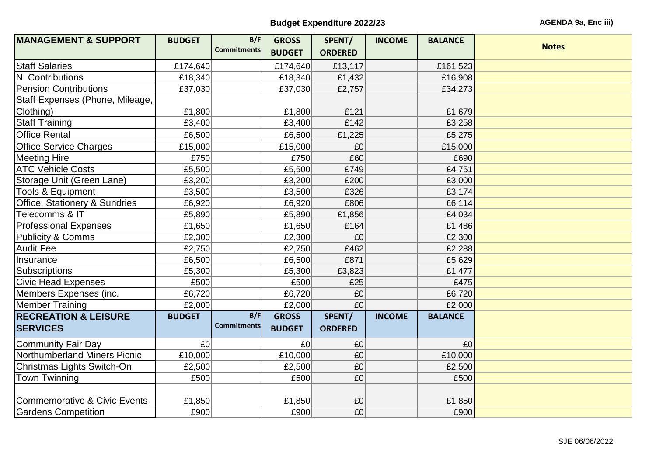## **Budget Expenditure 2022/23 AGENDA 9a, Enc iii**)

| <b>MANAGEMENT &amp; SUPPORT</b>          | <b>BUDGET</b>  | B/F                | <b>GROSS</b>  | SPENT/         | <b>INCOME</b> | <b>BALANCE</b> | <b>Notes</b> |
|------------------------------------------|----------------|--------------------|---------------|----------------|---------------|----------------|--------------|
|                                          |                | <b>Commitments</b> | <b>BUDGET</b> | <b>ORDERED</b> |               |                |              |
| <b>Staff Salaries</b>                    | £174,640       |                    | £174,640      | £13,117        |               | £161,523       |              |
| <b>NI Contributions</b>                  | £18,340        |                    | £18,340       | £1,432         |               | £16,908        |              |
| <b>Pension Contributions</b>             | £37,030        |                    | £37,030       | £2,757         |               | £34,273        |              |
| Staff Expenses (Phone, Mileage,          |                |                    |               |                |               |                |              |
| Clothing)                                | £1,800         |                    | £1,800        | £121           |               | £1,679         |              |
| <b>Staff Training</b>                    | £3,400         |                    | £3,400        | £142           |               | £3,258         |              |
| <b>Office Rental</b>                     | £6,500         |                    | £6,500        | £1,225         |               | £5,275         |              |
| <b>Office Service Charges</b>            | £15,000        |                    | £15,000       | £0             |               | £15,000        |              |
| <b>Meeting Hire</b>                      | £750           |                    | £750          | £60            |               | £690           |              |
| <b>ATC Vehicle Costs</b>                 | £5,500         |                    | £5,500        | £749           |               | £4,751         |              |
| Storage Unit (Green Lane)                | £3,200         |                    | £3,200        | £200           |               | £3,000         |              |
| <b>Tools &amp; Equipment</b>             | £3,500         |                    | £3,500        | £326           |               | £3,174         |              |
| <b>Office, Stationery &amp; Sundries</b> | £6,920         |                    | £6,920        | £806           |               | £6,114         |              |
| Telecomms & IT                           | £5,890         |                    | £5,890        | £1,856         |               | £4,034         |              |
| <b>Professional Expenses</b>             | £1,650         |                    | £1,650        | £164           |               | £1,486         |              |
| <b>Publicity &amp; Comms</b>             | £2,300         |                    | £2,300        | £0             |               | £2,300         |              |
| <b>Audit Fee</b>                         | £2,750         |                    | £2,750        | £462           |               | £2,288         |              |
| Insurance                                | £6,500         |                    | £6,500        | £871           |               | £5,629         |              |
| Subscriptions                            | £5,300         |                    | £5,300        | £3,823         |               | £1,477         |              |
| <b>Civic Head Expenses</b>               | £500           |                    | £500          | £25            |               | £475           |              |
| Members Expenses (inc.                   | £6,720         |                    | £6,720        | £0             |               | £6,720         |              |
| Member Training                          | £2,000         |                    | £2,000        | £0             |               | £2,000         |              |
| <b>RECREATION &amp; LEISURE</b>          | <b>BUDGET</b>  | B/F                | <b>GROSS</b>  | SPENT/         | <b>INCOME</b> | <b>BALANCE</b> |              |
| <b>SERVICES</b>                          |                | <b>Commitments</b> | <b>BUDGET</b> | <b>ORDERED</b> |               |                |              |
| Community Fair Day                       | E <sub>0</sub> |                    | £0            | £0             |               | E <sub>0</sub> |              |
| Northumberland Miners Picnic             | £10,000        |                    | £10,000       | £0             |               | £10,000        |              |
| Christmas Lights Switch-On               | £2,500         |                    | £2,500        | £0             |               | £2,500         |              |
| <b>Town Twinning</b>                     | £500           |                    | £500          | £0             |               | £500           |              |
|                                          |                |                    |               |                |               |                |              |
| Commemorative & Civic Events             | £1,850         |                    | £1,850        | £0             |               | £1,850         |              |
| <b>Gardens Competition</b>               | £900           |                    | £900          | E <sub>0</sub> |               | £900           |              |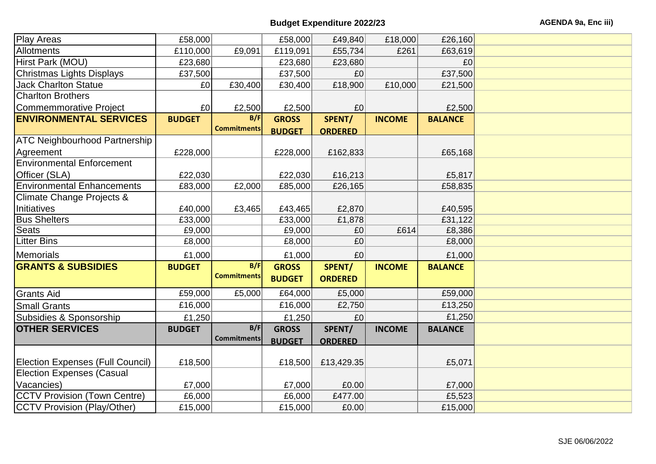| Play Areas                              | £58,000        |                    | £58,000       | £49,840        | £18,000       | £26,160        |  |
|-----------------------------------------|----------------|--------------------|---------------|----------------|---------------|----------------|--|
| Allotments                              | £110,000       | £9,091             | £119,091      | £55,734        | £261          | £63,619        |  |
| Hirst Park (MOU)                        | £23,680        |                    | £23,680       | £23,680        |               | £0             |  |
| Christmas Lights Displays               | £37,500        |                    | £37,500       | £0             |               | £37,500        |  |
| <b>Jack Charlton Statue</b>             | £0             | £30,400            | £30,400       | £18,900        | £10,000       | £21,500        |  |
| <b>Charlton Brothers</b>                |                |                    |               |                |               |                |  |
| Commemmorative Project                  | E <sub>0</sub> | £2,500             | £2,500        | £0             |               | £2,500         |  |
| <b>ENVIRONMENTAL SERVICES</b>           | <b>BUDGET</b>  | B/F                | <b>GROSS</b>  | SPENT/         | <b>INCOME</b> | <b>BALANCE</b> |  |
|                                         |                | <b>Commitments</b> | <b>BUDGET</b> | <b>ORDERED</b> |               |                |  |
| <b>ATC Neighbourhood Partnership</b>    |                |                    |               |                |               |                |  |
| Agreement                               | £228,000       |                    | £228,000      | £162,833       |               | £65,168        |  |
| <b>Environmental Enforcement</b>        |                |                    |               |                |               |                |  |
| Officer (SLA)                           | £22,030        |                    | £22,030       | £16,213        |               | £5,817         |  |
| <b>Environmental Enhancements</b>       | £83,000        | £2,000             | £85,000       | £26,165        |               | £58,835        |  |
| <b>Climate Change Projects &amp;</b>    |                |                    |               |                |               |                |  |
| Initiatives                             | £40,000        | £3,465             | £43,465       | £2,870         |               | £40,595        |  |
| <b>Bus Shelters</b>                     | £33,000        |                    | £33,000       | £1,878         |               | £31,122        |  |
| <b>Seats</b>                            | £9,000         |                    | £9,000        | E0             | E614          | £8,386         |  |
| <b>Litter Bins</b>                      | £8,000         |                    | £8,000        | £0             |               | £8,000         |  |
| Memorials                               | £1,000         |                    | £1,000        | £0             |               | £1,000         |  |
| <b>GRANTS &amp; SUBSIDIES</b>           | <b>BUDGET</b>  | B/F                | <b>GROSS</b>  | SPENT/         | <b>INCOME</b> | <b>BALANCE</b> |  |
|                                         |                | <b>Commitments</b> | <b>BUDGET</b> | <b>ORDERED</b> |               |                |  |
| <b>Grants Aid</b>                       | £59,000        | £5,000             | £64,000       | £5,000         |               | £59,000        |  |
| <b>Small Grants</b>                     | £16,000        |                    | £16,000       | £2,750         |               | £13,250        |  |
| Subsidies & Sponsorship                 | £1,250         |                    | £1,250        | £0             |               | £1,250         |  |
| <b>OTHER SERVICES</b>                   | <b>BUDGET</b>  | B/F                | <b>GROSS</b>  | SPENT/         | <b>INCOME</b> | <b>BALANCE</b> |  |
|                                         |                | <b>Commitments</b> |               |                |               |                |  |
|                                         |                |                    | <b>BUDGET</b> | <b>ORDERED</b> |               |                |  |
| <b>Election Expenses (Full Council)</b> | £18,500        |                    | £18,500       | £13,429.35     |               | £5,071         |  |
| <b>Election Expenses (Casual</b>        |                |                    |               |                |               |                |  |
| Vacancies)                              | £7,000         |                    | £7,000        | E0.00          |               | £7,000         |  |
| <b>CCTV Provision (Town Centre)</b>     | £6,000         |                    | £6,000        | £477.00        |               | £5,523         |  |
| CCTV Provision (Play/Other)             |                |                    |               |                |               |                |  |